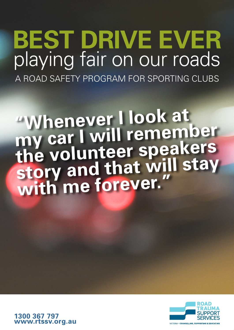# **BEST DRIVE EVER**  playing fair on our roads A ROAD SAFETY PROGRAM FOR SPORTING CLUBS

**"Whenever I look at my car I will remember the volunteer speakers story and that will stay with me forever."**



**1300 367 797 www.rtssv.org.au**